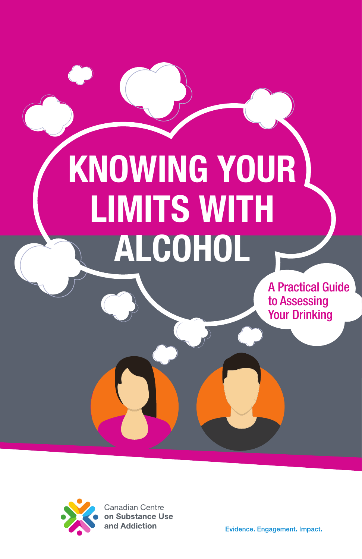# KNOWING YOUR LIMITS WITH ALCOHOL

A Practical Guide to Assessing Your Drinking



**Canadian Centre** on Substance Use and Addiction

Evidence. Engagement. Impact.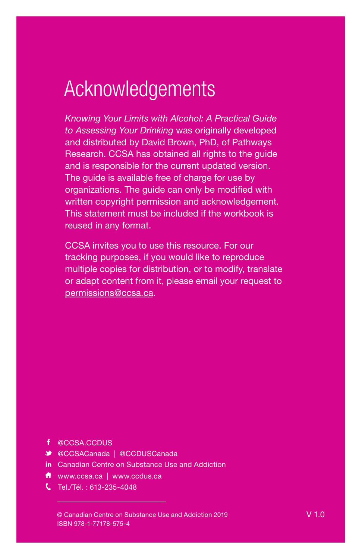## Acknowledgements

*Knowing Your Limits with Alcohol: A Practical Guide to Assessing Your Drinking* was originally developed and distributed by David Brown, PhD, of Pathways Research. CCSA has obtained all rights to the guide and is responsible for the current updated version. The guide is available free of charge for use by organizations. The guide can only be modified with written copyright permission and acknowledgement. This statement must be included if the workbook is reused in any format.

CCSA invites you to use this resource. For our tracking purposes, if you would like to reproduce multiple copies for distribution, or to modify, translate or adapt content from it, please email your request to [permissions@ccsa.ca.](MAILTO:permissions@ccsa.ca)

- f @CCSA.CCDUS
- @CCSACanada | @CCDUSCanada
- in Canadian Centre on Substance Use and Addiction
- www.ccsa.ca | www.ccdus.ca
- Tel./Tél. : 613-235-4048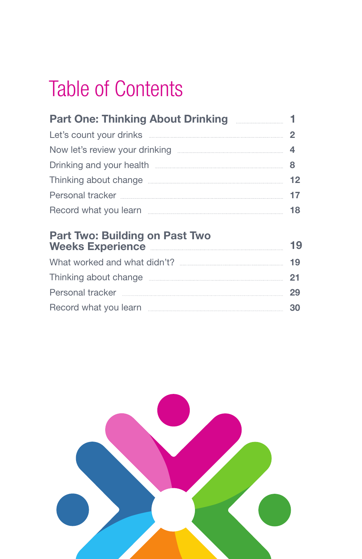## Table of Contents

| <b>Part One: Thinking About Drinking Committee 1 1</b>                                                                                                                                                                               |    |
|--------------------------------------------------------------------------------------------------------------------------------------------------------------------------------------------------------------------------------------|----|
| Let's count your drinks <b>count of the set of the count of the set of the set of the set of the set of the set o</b>                                                                                                                |    |
|                                                                                                                                                                                                                                      |    |
| Drinking and your health <b>Election Control and String and Your health Election Control and String and String and String and String and String and String and String and String and String and String and String and String a</b>   |    |
|                                                                                                                                                                                                                                      | 12 |
| Personal tracker <b>manual contract of the contract of the contract of the contract of the contract of the contract of the contract of the contract of the contract of the contract of the contract of the contract of the contr</b> | 17 |
| Record what you learn <b>Election Election Record</b> what you learn                                                                                                                                                                 | 18 |
|                                                                                                                                                                                                                                      |    |

#### Part Two: Building on Past Two Weeks Experience **Experience Weeks** What worked and what didn't? 19 Thinking about change **manual community** 21 Personal tracker 29 Record what you learn 3019

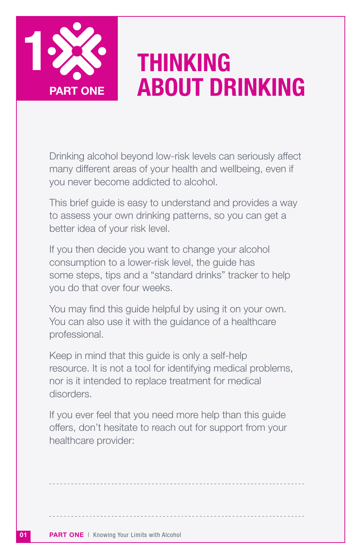

## THINKING PART ONE **ABOUT DRINKING**

Drinking alcohol beyond low-risk levels can seriously affect many different areas of your health and wellbeing, even if you never become addicted to alcohol.

This brief guide is easy to understand and provides a way to assess your own drinking patterns, so you can get a better idea of your risk level.

If you then decide you want to change your alcohol consumption to a lower-risk level, the guide has some steps, tips and a "standard drinks" tracker to help you do that over four weeks.

You may find this guide helpful by using it on your own. You can also use it with the guidance of a healthcare professional.

Keep in mind that this guide is only a self-help resource. It is not a tool for identifying medical problems, nor is it intended to replace treatment for medical disorders.

If you ever feel that you need more help than this guide offers, don't hesitate to reach out for support from your healthcare provider: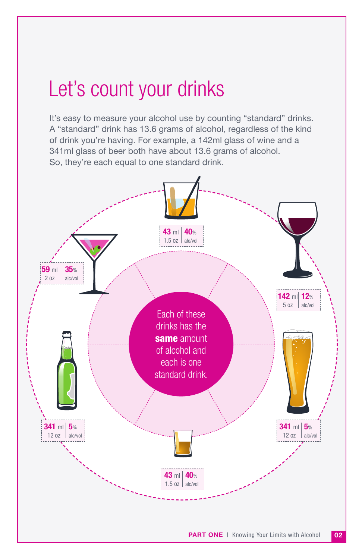## Let's count your drinks

It's easy to measure your alcohol use by counting "standard" drinks. A "standard" drink has 13.6 grams of alcohol, regardless of the kind of drink you're having. For example, a 142ml glass of wine and a 341ml glass of beer both have about 13.6 grams of alcohol. So, they're each equal to one standard drink.

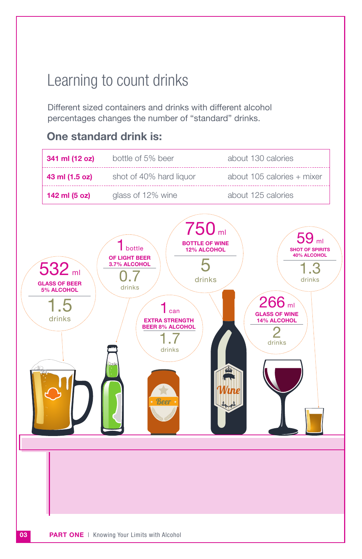### Learning to count drinks

Different sized containers and drinks with different alcohol percentages changes the number of "standard" drinks.

### One standard drink is:

| 341 ml (12 oz) | bottle of 5% beer       | about 130 calories         |
|----------------|-------------------------|----------------------------|
| 43 ml (1.5 oz) | shot of 40% hard liquor | about 105 calories + mixer |
| 142 ml (5 oz)  | glass of 12% wine       | about 125 calories         |

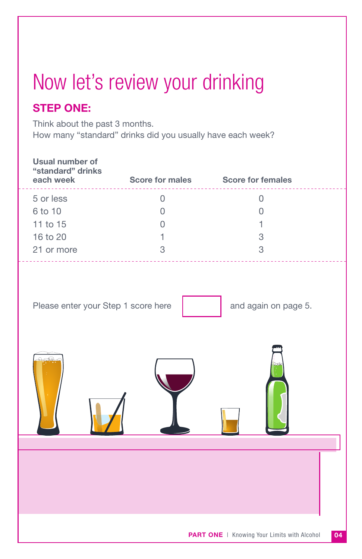## Now let's review your drinking

#### STEP ONE:

Think about the past 3 months. How many "standard" drinks did you usually have each week?

| <b>Usual number of</b><br>"standard" drinks<br>each week | Score for males Score for females |                                                    |
|----------------------------------------------------------|-----------------------------------|----------------------------------------------------|
| 5 or less                                                | $\Omega$                          | $\Omega$                                           |
| 6 to 10                                                  | $\Omega$                          | 0                                                  |
| 11 to 15                                                 | $\Omega$                          | 1                                                  |
| 16 to 20                                                 | 1                                 | 3                                                  |
| 21 or more                                               | 3                                 | 3                                                  |
| Please enter your Step 1 score here                      |                                   | and again on page 5.                               |
|                                                          |                                   |                                                    |
|                                                          |                                   |                                                    |
|                                                          |                                   |                                                    |
|                                                          |                                   |                                                    |
|                                                          |                                   |                                                    |
|                                                          |                                   | <b>PART ONE</b>   Knowing Your Limits with Alcohol |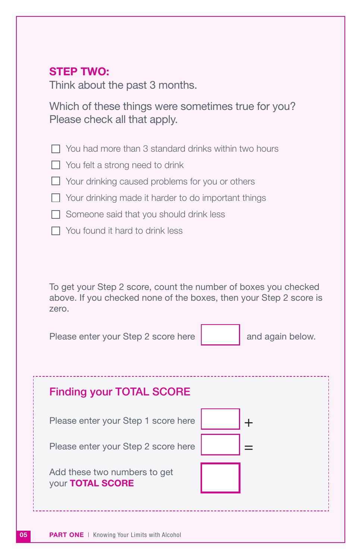#### STEP TWO:

Think about the past 3 months.

Which of these things were sometimes true for you? Please check all that apply.

- $\Box$  You had more than 3 standard drinks within two hours
- $\Box$  You felt a strong need to drink
- $\Box$  Your drinking caused problems for you or others
- □ Your drinking made it harder to do important things
- $\Box$  Someone said that you should drink less
- $\Box$  You found it hard to drink less

To get your Step 2 score, count the number of boxes you checked above. If you checked none of the boxes, then your Step 2 score is zero.

Please enter your Step 2 score here

and again below.

| <b>Finding your TOTAL SCORE</b>                  |  |
|--------------------------------------------------|--|
| Please enter your Step 1 score here              |  |
| Please enter your Step 2 score here              |  |
| Add these two numbers to get<br>your TOTAL SCORE |  |
|                                                  |  |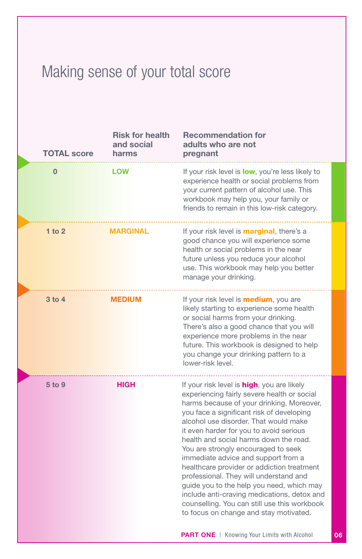### Making sense of your total score

| <b>TOTAL score</b> | <b>Risk for health</b><br>and social<br>harms | <b>Recommendation for</b><br>adults who are not<br>pregnant                                                                                                                                                                                                                                                                                                                                                                                                                                                                                                                                                                                                                                                                                                                                                                                              |  |
|--------------------|-----------------------------------------------|----------------------------------------------------------------------------------------------------------------------------------------------------------------------------------------------------------------------------------------------------------------------------------------------------------------------------------------------------------------------------------------------------------------------------------------------------------------------------------------------------------------------------------------------------------------------------------------------------------------------------------------------------------------------------------------------------------------------------------------------------------------------------------------------------------------------------------------------------------|--|
| $\mathbf{0}$       | <b>LOW</b>                                    | If your risk level is low, you're less likely to<br>experience health or social problems from<br>your current pattern of alcohol use. This<br>workbook may help you, your family or<br>friends to remain in this low-risk category.                                                                                                                                                                                                                                                                                                                                                                                                                                                                                                                                                                                                                      |  |
| 1 to $2$           | <b>MARGINAL</b>                               | If your risk level is <b>marginal</b> , there's a<br>good chance you will experience some<br>health or social problems in the near<br>future unless you reduce your alcohol<br>use. This workbook may help you better<br>manage your drinking.                                                                                                                                                                                                                                                                                                                                                                                                                                                                                                                                                                                                           |  |
| $3$ to $4$         | <b>MEDIUM</b>                                 | If your risk level is <b>medium</b> , you are<br>likely starting to experience some health<br>or social harms from your drinking.<br>There's also a good chance that you will<br>experience more problems in the near<br>future. This workbook is designed to help<br>you change your drinking pattern to a<br>lower-risk level.                                                                                                                                                                                                                                                                                                                                                                                                                                                                                                                         |  |
| 5 to 9             | <b>HIGH</b>                                   | If your risk level is <b>high</b> , you are likely<br>experiencing fairly severe health or social<br>harms because of your drinking. Moreover,<br>you face a significant risk of developing<br>alcohol use disorder. That would make<br>it even harder for you to avoid serious<br>health and social harms down the road.<br>You are strongly encouraged to seek<br>immediate advice and support from a<br>healthcare provider or addiction treatment<br>professional. They will understand and<br>guide you to the help you need, which may<br>include anti-craving medications, detox and<br>counselling. You can still use this workbook<br>to focus on change and stay motivated.<br>$\mathbf{A} \mathbf{D} \mathbf{T}$ $\mathbf{A} \mathbf{H} \mathbf{F}$   $\mathcal{V}_{nonlinear}$ $\mathcal{V}_{out}$   $\mathcal{V}_{out}$ $\mathcal{V}_{out}$ |  |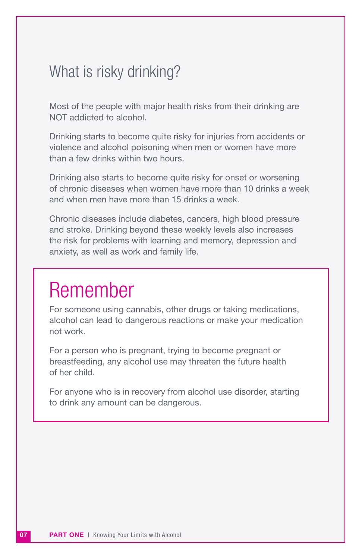### What is risky drinking?

Most of the people with major health risks from their drinking are NOT addicted to alcohol.

Drinking starts to become quite risky for injuries from accidents or violence and alcohol poisoning when men or women have more than a few drinks within two hours.

Drinking also starts to become quite risky for onset or worsening of chronic diseases when women have more than 10 drinks a week and when men have more than 15 drinks a week.

Chronic diseases include diabetes, cancers, high blood pressure and stroke. Drinking beyond these weekly levels also increases the risk for problems with learning and memory, depression and anxiety, as well as work and family life.

## Remember

For someone using cannabis, other drugs or taking medications, alcohol can lead to dangerous reactions or make your medication not work.

For a person who is pregnant, trying to become pregnant or breastfeeding, any alcohol use may threaten the future health of her child.

For anyone who is in recovery from alcohol use disorder, starting to drink any amount can be dangerous.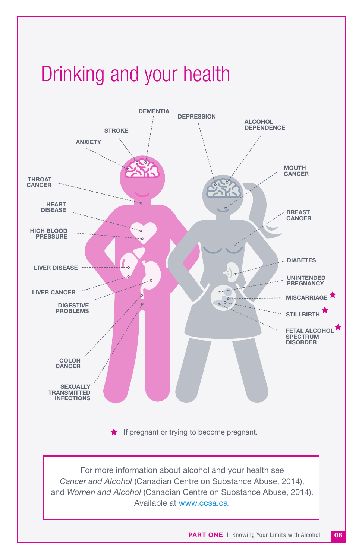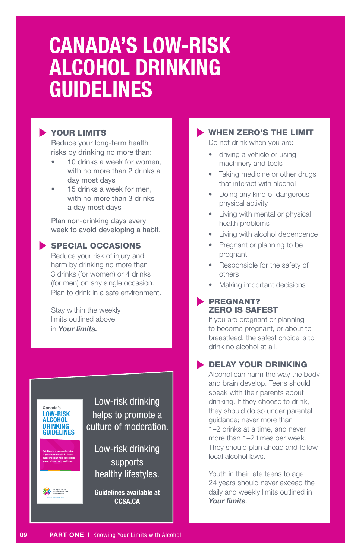## CANADA'S LOW-RISK ALCOHOL DRINKING GUIDELINES

#### YOUR LIMITS

Reduce your long-term health risks by drinking no more than:

- 10 drinks a week for women. with no more than 2 drinks a day most days
- 15 drinks a week for men. with no more than 3 drinks a day most days

Plan non-drinking days every week to avoid developing a habit.

#### SPECIAL OCCASIONS

Reduce your risk of injury and harm by drinking no more than 3 drinks (for women) or 4 drinks (for men) on any single occasion. Plan to drink in a safe environment.

Stay within the weekly limits outlined above in *Your limits.*



09

500–75 Albert Street, Ottawa, ON K1P 5E7 Tel: 613-235-4048 | Fax: 613-235-8101 National Alcohol Strategy Advisory Committee © Canadian Centre on Substance Use and Addiction 2018 Cette publication est également disponible en français.

The Canadian Centre on Substance Use and Addiction changes lives by bringing people and knowledge together to reduce the harm of alcohol and other drugs on society. We partner with public, private and non-governmental public, private and non-governmental public, private and organizations to improve the health and safety of Canadians.

Ont.: Canadian Centre on Substance Abuse.

ww.ccsa.ca

supported development of Canada's Low-Risk Alcohol Drinking Guidelines.

supporting the guidelines, please visit

drinking-guidelines/Pages/default.aspx

#### WHEN ZERO'S THE LIMIT

Do not drink when you are:

- driving a vehicle or using machinery and tools
- Taking medicine or other drugs that interact with alcohol
- Doing any kind of dangerous physical activity
- Living with mental or physical health problems
- Living with alcohol dependence
- Pregnant or planning to be pregnant
- Responsible for the safety of others
- Making important decisions

#### **PREGNANT?** ZERO IS SAFEST

If you are pregnant or planning to become pregnant, or about to breastfeed, the safest choice is to drink no alcohol at all.

#### **DELAY YOUR DRINKING**

Alcohol can harm the way the body and brain develop. Teens should speak with their parents about drinking. If they choose to drink, they should do so under parental guidance; never more than 1–2 drinks at a time, and never more than 1–2 times per week. They should plan ahead and follow local alcohol laws.

Youth in their late teens to age 24 years should never exceed the daily and weekly limits outlined in *Your limits*.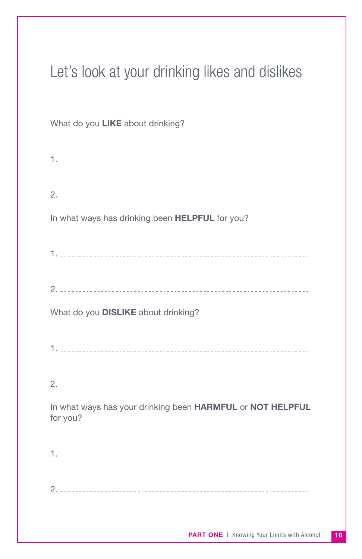### Let's look at your drinking likes and dislikes

#### What do you **LIKE** about drinking?

| In what ways has drinking been HELPFUL for you?                        |
|------------------------------------------------------------------------|
|                                                                        |
|                                                                        |
| What do you DISLIKE about drinking?                                    |
|                                                                        |
|                                                                        |
| In what ways has your drinking been HARMFUL or NOT HELPFUL<br>for you? |
|                                                                        |
|                                                                        |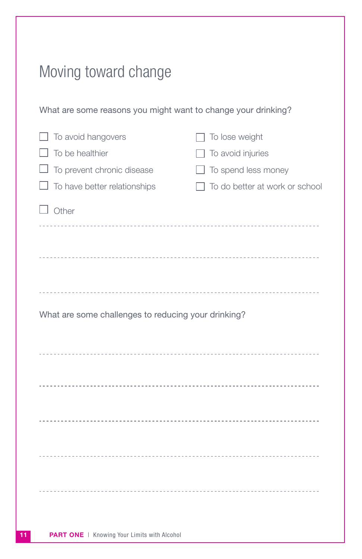| Moving toward change                                                                                |                                                                                                     |
|-----------------------------------------------------------------------------------------------------|-----------------------------------------------------------------------------------------------------|
| What are some reasons you might want to change your drinking?                                       |                                                                                                     |
| To avoid hangovers<br>To be healthier<br>To prevent chronic disease<br>To have better relationships | To lose weight<br>$\Box$ To avoid injuries<br>To spend less money<br>To do better at work or school |
| $\Box$ Other                                                                                        |                                                                                                     |
|                                                                                                     |                                                                                                     |
| What are some challenges to reducing your drinking?                                                 |                                                                                                     |
|                                                                                                     |                                                                                                     |
|                                                                                                     |                                                                                                     |
|                                                                                                     |                                                                                                     |
|                                                                                                     |                                                                                                     |
|                                                                                                     |                                                                                                     |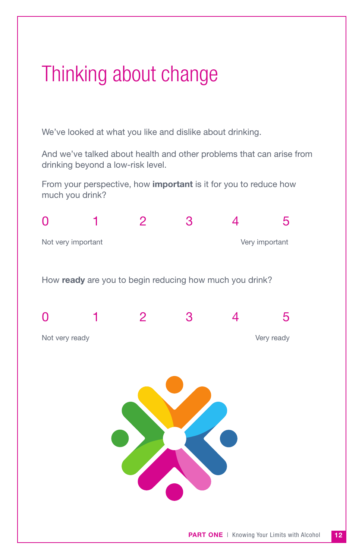## Thinking about change

We've looked at what you like and dislike about drinking.

And we've talked about health and other problems that can arise from drinking beyond a low-risk level.

From your perspective, how important is it for you to reduce how much you drink?

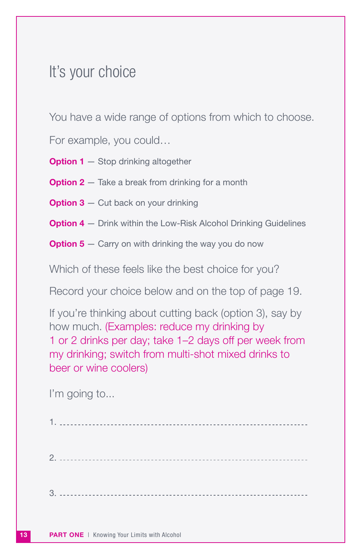### It's your choice

You have a wide range of options from which to choose.

For example, you could…

**Option 1** – Stop drinking altogether

**Option 2**  $-$  Take a break from drinking for a month

**Option 3**  $-$  Cut back on your drinking

**Option 4** – Drink within the Low-Risk Alcohol Drinking Guidelines

**Option 5**  $-$  Carry on with drinking the way you do now

Which of these feels like the best choice for you?

Record your choice below and on the top of page 19.

If you're thinking about cutting back (option 3), say by how much. (Examples: reduce my drinking by 1 or 2 drinks per day; take 1–2 days off per week from my drinking; switch from multi-shot mixed drinks to beer or wine coolers)

I'm going to...

13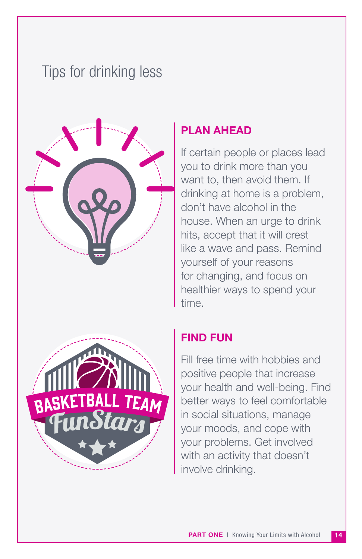### Tips for drinking less



#### PLAN AHEAD

If certain people or places lead you to drink more than you want to, then avoid them. If drinking at home is a problem, don't have alcohol in the house. When an urge to drink hits, accept that it will crest like a wave and pass. Remind yourself of your reasons for changing, and focus on healthier ways to spend your time.

#### FIND FUN

Fill free time with hobbies and positive people that increase your health and well-being. Find better ways to feel comfortable in social situations, manage your moods, and cope with your problems. Get involved with an activity that doesn't involve drinking.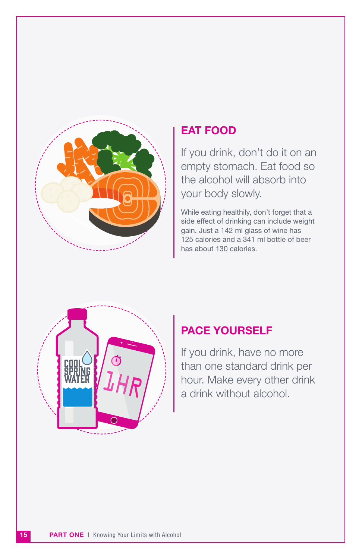

#### EAT FOOD

If you drink, don't do it on an empty stomach. Eat food so the alcohol will absorb into your body slowly.

While eating healthily, don't forget that a side effect of drinking can include weight gain. Just a 142 ml glass of wine has 125 calories and a 341 ml bottle of beer has about 130 calories.



#### PACE YOURSELF

If you drink, have no more than one standard drink per  $JH$  $\parallel$  hour. Make every other drink a drink without alcohol.

15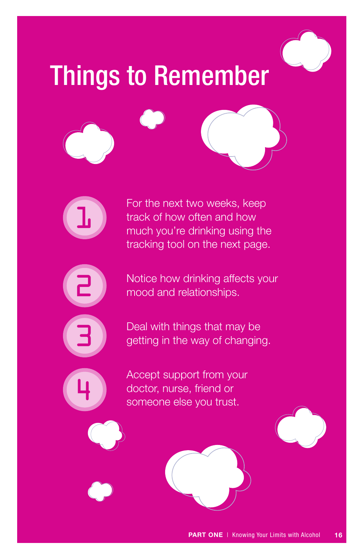## Things to Remember





For the next two weeks, keep track of how often and how much you're drinking using the tracking tool on the next page.



3

4

Notice how drinking affects your mood and relationships.



Accept support from your doctor, nurse, friend or someone else you trust.

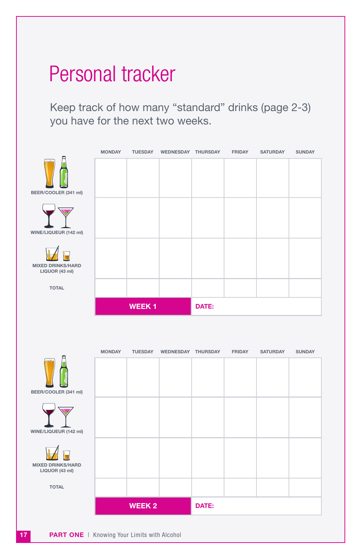## Personal tracker

Keep track of how many "standard" drinks (page 2-3) you have for the next two weeks.



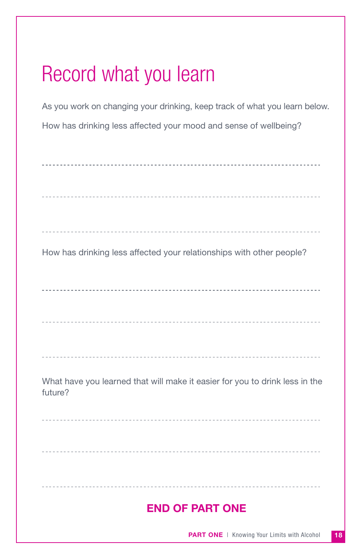## Record what you learn

As you work on changing your drinking, keep track of what you learn below. How has drinking less affected your mood and sense of wellbeing?

| How has drinking less affected your relationships with other people?                   |
|----------------------------------------------------------------------------------------|
|                                                                                        |
|                                                                                        |
|                                                                                        |
| What have you learned that will make it easier for you to drink less in the<br>future? |
|                                                                                        |
|                                                                                        |
|                                                                                        |
| <b>END OF PART ONE</b>                                                                 |
|                                                                                        |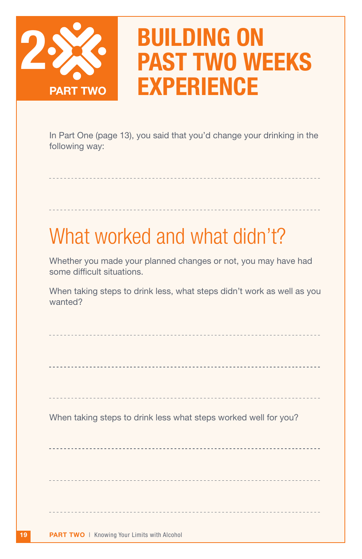

## BUILDING ON PAST TWO WEEKS **EXPERIENCE**

In Part One (page 13), you said that you'd change your drinking in the following way:

## What worked and what didn't?

Whether you made your planned changes or not, you may have had some difficult situations.

When taking steps to drink less, what steps didn't work as well as you wanted?

| When taking steps to drink less what steps worked well for you? |
|-----------------------------------------------------------------|
|                                                                 |
|                                                                 |
|                                                                 |
|                                                                 |
|                                                                 |
|                                                                 |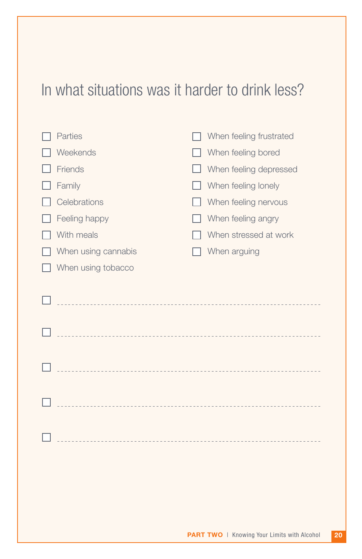### In what situations was it harder to drink less?

| Parties             | When feeling frustrated |
|---------------------|-------------------------|
| Weekends            | When feeling bored      |
| Friends             | When feeling depressed  |
| Family              | When feeling lonely     |
| Celebrations        | When feeling nervous    |
| Feeling happy       | When feeling angry      |
| With meals          | When stressed at work   |
| When using cannabis | When arguing            |
| When using tobacco  |                         |
|                     |                         |
|                     |                         |
|                     |                         |
|                     |                         |
|                     |                         |
|                     |                         |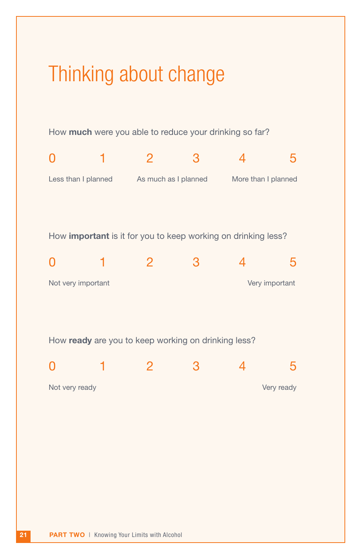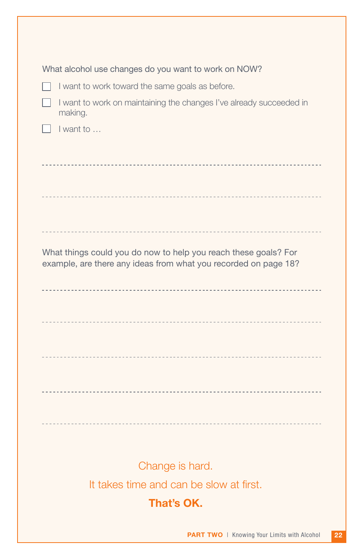| What alcohol use changes do you want to work on NOW?                                                                               |
|------------------------------------------------------------------------------------------------------------------------------------|
| I want to work toward the same goals as before.                                                                                    |
| I want to work on maintaining the changes I've already succeeded in<br>making.                                                     |
| I want to                                                                                                                          |
|                                                                                                                                    |
|                                                                                                                                    |
|                                                                                                                                    |
|                                                                                                                                    |
|                                                                                                                                    |
|                                                                                                                                    |
| What things could you do now to help you reach these goals? For<br>example, are there any ideas from what you recorded on page 18? |
|                                                                                                                                    |
|                                                                                                                                    |
|                                                                                                                                    |
|                                                                                                                                    |
|                                                                                                                                    |
|                                                                                                                                    |
|                                                                                                                                    |
|                                                                                                                                    |
|                                                                                                                                    |
|                                                                                                                                    |
|                                                                                                                                    |
| Change is hard.                                                                                                                    |
| It takes time and can be slow at first.                                                                                            |
| That's OK.                                                                                                                         |
|                                                                                                                                    |
| 22<br><b>PART TWO</b>   Knowing Your Limits with Alcohol                                                                           |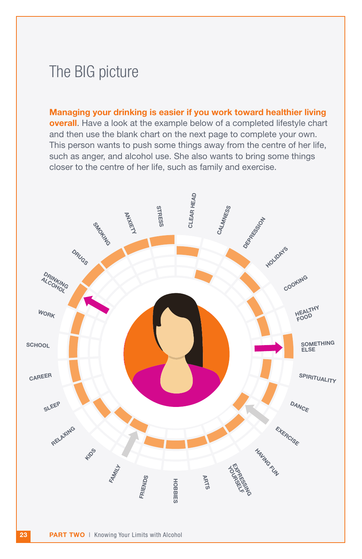### The BIG picture

Managing your drinking is easier if you work toward healthier living overall. Have a look at the example below of a completed lifestyle chart and then use the blank chart on the next page to complete your own. This person wants to push some things away from the centre of her life, such as anger, and alcohol use. She also wants to bring some things closer to the centre of her life, such as family and exercise.

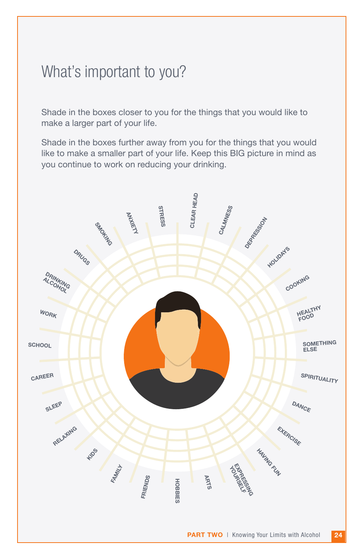### What's important to you?

Shade in the boxes closer to you for the things that you would like to make a larger part of your life.

Shade in the boxes further away from you for the things that you would like to make a smaller part of your life. Keep this BIG picture in mind as you continue to work on reducing your drinking.

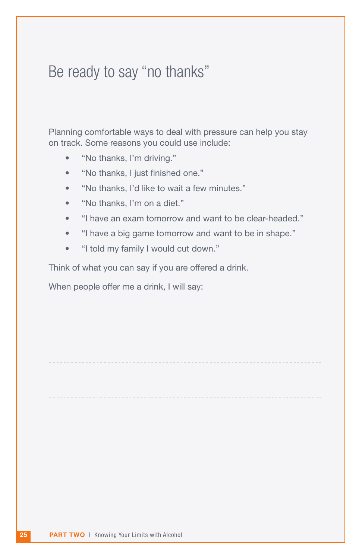### Be ready to say "no thanks"

Planning comfortable ways to deal with pressure can help you stay on track. Some reasons you could use include:

- "No thanks, I'm driving."
- "No thanks, I just finished one."
- "No thanks, I'd like to wait a few minutes."
- "No thanks, I'm on a diet."
- "I have an exam tomorrow and want to be clear-headed."
- "I have a big game tomorrow and want to be in shape."
- "I told my family I would cut down."

Think of what you can say if you are offered a drink.

When people offer me a drink, I will say: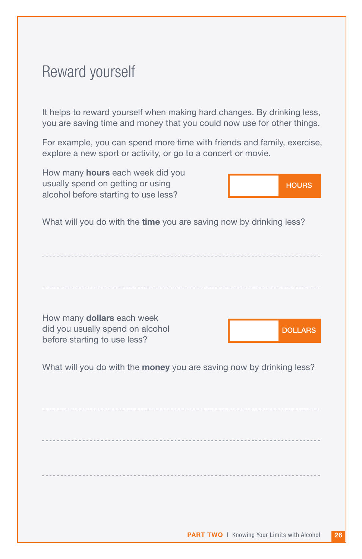### Reward yourself

It helps to reward yourself when making hard changes. By drinking less, you are saving time and money that you could now use for other things.

For example, you can spend more time with friends and family, exercise, explore a new sport or activity, or go to a concert or movie.

How many hours each week did you usually spend on getting or using alcohol before starting to use less?



What will you do with the time you are saving now by drinking less?

How many dollars each week did you usually spend on alcohol before starting to use less?

**DOLLARS** 

What will you do with the **money** you are saving now by drinking less?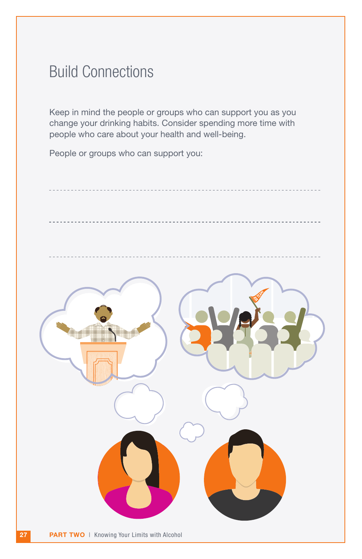### Build Connections

Keep in mind the people or groups who can support you as you change your drinking habits. Consider spending more time with people who care about your health and well-being.

People or groups who can support you:

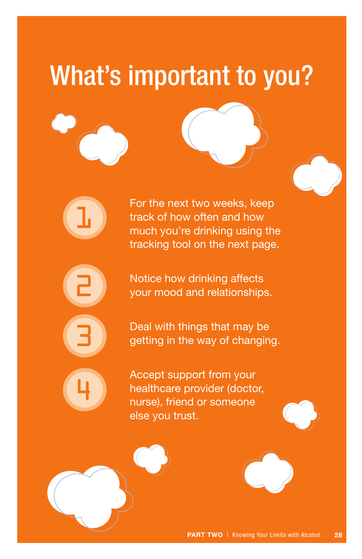## What's important to you?

1

2 3

4

For the next two weeks, keep track of how often and how much you're drinking using the tracking tool on the next page.

Notice how drinking affects your mood and relationships.

Deal with things that may be getting in the way of changing.

Accept support from your healthcare provider (doctor, nurse), friend or someone else you trust.



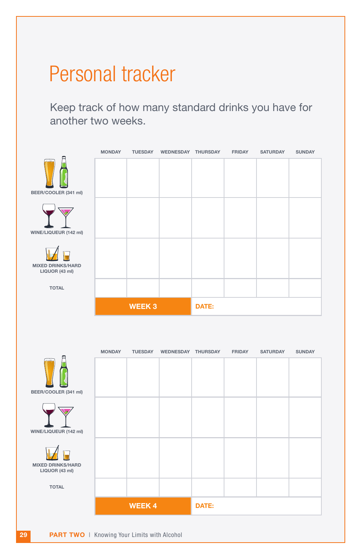## Personal tracker

Keep track of how many standard drinks you have for another two weeks.



|                                            | <b>MONDAY</b> | <b>TUESDAY</b> | <b>WEDNESDAY</b> | <b>THURSDAY</b> | <b>FRIDAY</b> | <b>SATURDAY</b> | <b>SUNDAY</b> |
|--------------------------------------------|---------------|----------------|------------------|-----------------|---------------|-----------------|---------------|
| $\approx$<br>BEER/COOLER (341 ml)          |               |                |                  |                 |               |                 |               |
| WINE/LIQUEUR (142 ml)                      |               |                |                  |                 |               |                 |               |
| <b>MIXED DRINKS/HARD</b><br>LIQUOR (43 ml) |               |                |                  |                 |               |                 |               |
| <b>TOTAL</b>                               |               |                |                  |                 |               |                 |               |
|                                            | <b>WEEK4</b>  |                | DATE:            |                 |               |                 |               |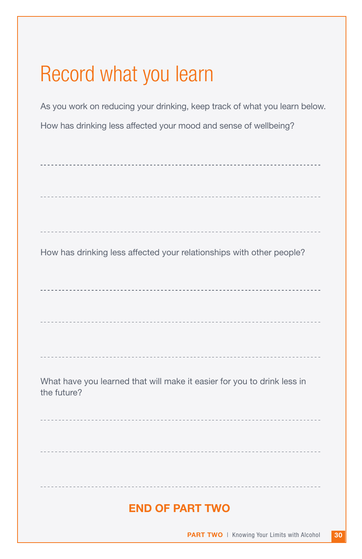## Record what you learn

As you work on reducing your drinking, keep track of what you learn below. How has drinking less affected your mood and sense of wellbeing?

| How has drinking less affected your relationships with other people?                   |
|----------------------------------------------------------------------------------------|
|                                                                                        |
|                                                                                        |
|                                                                                        |
|                                                                                        |
| What have you learned that will make it easier for you to drink less in<br>the future? |
|                                                                                        |
|                                                                                        |
|                                                                                        |
| <b>END OF PART TWO</b>                                                                 |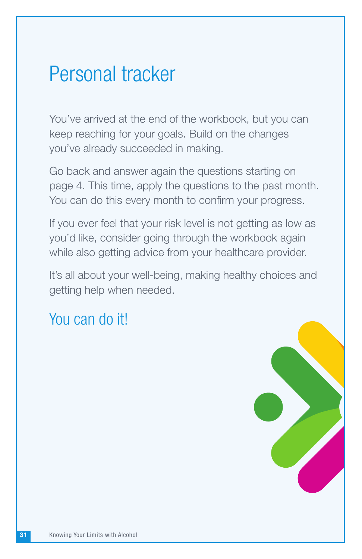### Personal tracker

You've arrived at the end of the workbook, but you can keep reaching for your goals. Build on the changes you've already succeeded in making.

Go back and answer again the questions starting on page 4. This time, apply the questions to the past month. You can do this every month to confirm your progress.

If you ever feel that your risk level is not getting as low as you'd like, consider going through the workbook again while also getting advice from your healthcare provider.

It's all about your well-being, making healthy choices and getting help when needed.

### You can do it!

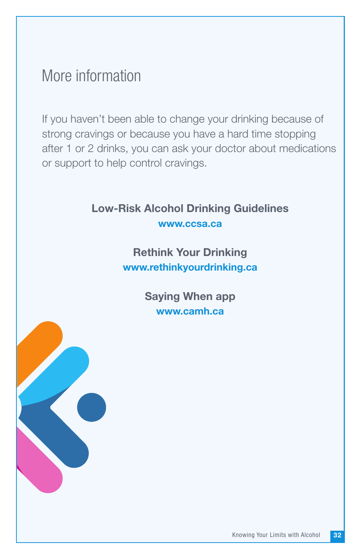### More information

If you haven't been able to change your drinking because of strong cravings or because you have a hard time stopping after 1 or 2 drinks, you can ask your doctor about medications or support to help control cravings.

#### Low-Risk Alcohol Drinking Guidelines [www.ccsa.ca](https://www.ccsa.ca/canadas-low-risk-alcohol-drinking-guidelines-brochure)

Rethink Your Drinking [www.rethinkyourdrinking.ca](http://www.rethinkyourdrinking.ca/)

> Saying When app [www.camh.ca](http://www.camh.ca/en/camh-news-and-stories/introducing-the-saying-when-app)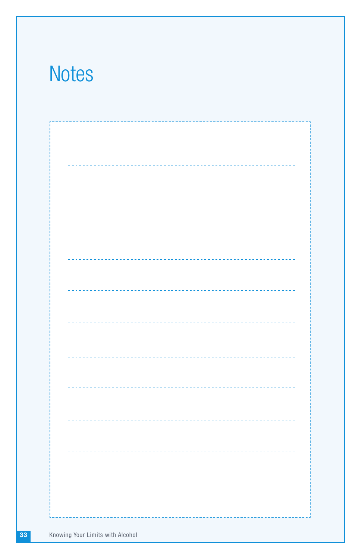## **Notes**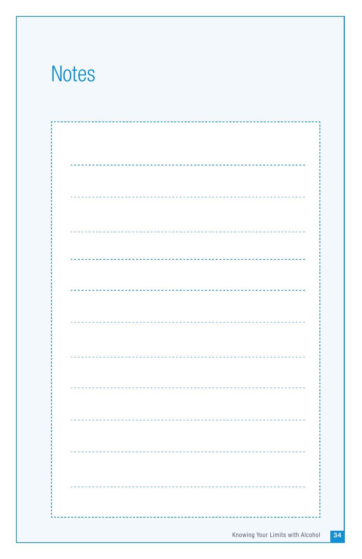## **Notes**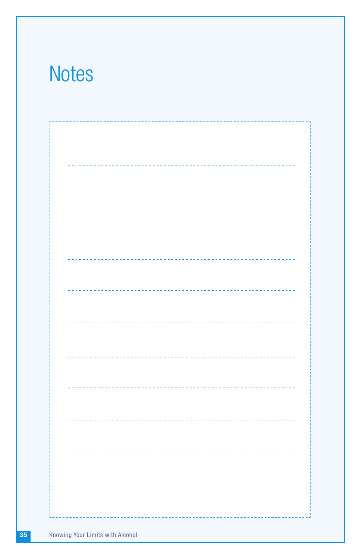## **Notes**